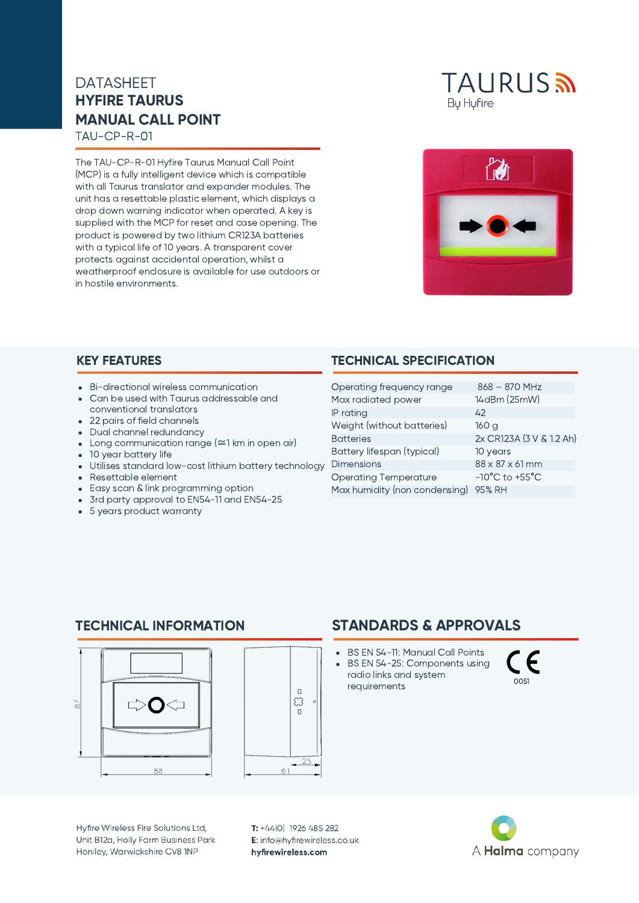# HYFIRE TAURUS MANUAL CALL POINT DATASHEET

TAU-CP-R-01

The TAU-CP-R-01 Hyfire Taurus Manual Call Point (MCP) is a fully intelligent device which is compatible with all Taurus translator and expander modules. The unit has a resettable plastic element, which displays a drop down warning indicator when operated. A key is supplied with the MCP for reset and case opening. The product is powered by two lithium CR123A batteries with a typical life of 10 years. A transparent cover protects against accidental operation, whilst a weatherproof enclosure is available for use outdoors or in hostile environments.





- Bi-directional wireless communication
- Can be used with Taurus addressable and conventional translators
- 22 pairs of field channels
- Dual channel redundancy
- Long communication range (≅1 km in open air)
- 10 year battery life
- Utilises standard low-cost lithium battery technology
- Resettable element
- Easy scan & link programming option
- 3rd party approval to EN54-11 and EN54-25
- 5 years product warranty

#### KEY FEATURES TECHNICAL SPECIFICATION

| Operating frequency range     | $868 - 870$ MHz                    |
|-------------------------------|------------------------------------|
| Max radiated power            | 14dBm (25mW)                       |
| IP rating                     | 42                                 |
| Weight (without batteries)    | 160 a                              |
| <b>Batteries</b>              | 2x CR123A (3 V & 1.2 Ah)           |
| Battery lifespan (typical)    | 10 years                           |
| <b>Dimensions</b>             | 88 x 87 x 61 mm                    |
| <b>Operating Temperature</b>  | $-10^{\circ}$ C to $+55^{\circ}$ C |
| Max humidity (non condensing) | 95% RH                             |

STANDARDS & APPROVALS

BS EN 54-11: Manual Call Points BS EN 54-25: Components using radio links and system

requirements

#### TECHNICAL INFORMATION





#### Hyfire Wireless Fire Solutions Ltd, Unit B12a, Holly Farm Business Park Honiley, Warwickshire CV8 1NP

T: +44(0) 1926 485 282 E: info@hyfirewireless.co.uk hyfirewireless.com



0051

 $\in \epsilon$